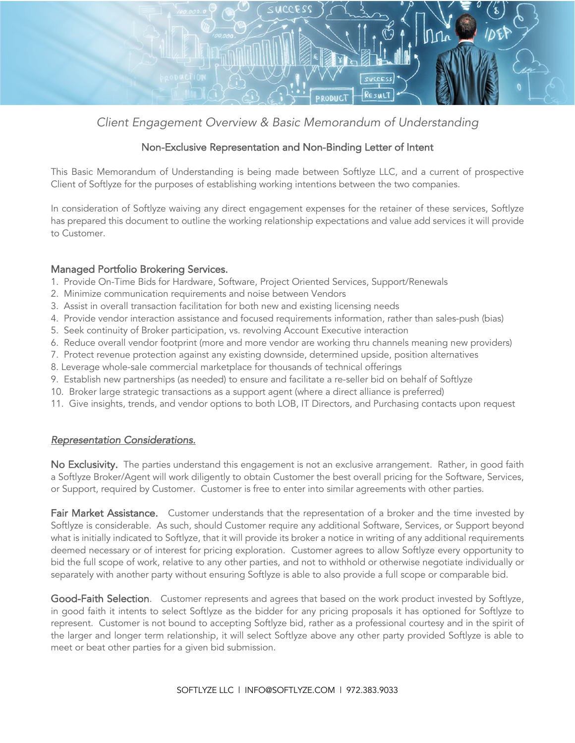

*Client Engagement Overview & Basic Memorandum of Understanding*

## Non-Exclusive Representation and Non-Binding Letter of Intent

This Basic Memorandum of Understanding is being made between Softlyze LLC, and a current of prospective Client of Softlyze for the purposes of establishing working intentions between the two companies.

In consideration of Softlyze waiving any direct engagement expenses for the retainer of these services, Softlyze has prepared this document to outline the working relationship expectations and value add services it will provide to Customer.

## Managed Portfolio Brokering Services.

- 1. Provide On-Time Bids for Hardware, Software, Project Oriented Services, Support/Renewals
- 2. Minimize communication requirements and noise between Vendors
- 3. Assist in overall transaction facilitation for both new and existing licensing needs
- 4. Provide vendor interaction assistance and focused requirements information, rather than sales-push (bias)
- 5. Seek continuity of Broker participation, vs. revolving Account Executive interaction
- 6. Reduce overall vendor footprint (more and more vendor are working thru channels meaning new providers)
- 7. Protect revenue protection against any existing downside, determined upside, position alternatives
- 8. Leverage whole-sale commercial marketplace for thousands of technical offerings
- 9. Establish new partnerships (as needed) to ensure and facilitate a re-seller bid on behalf of Softlyze
- 10. Broker large strategic transactions as a support agent (where a direct alliance is preferred)
- 11. Give insights, trends, and vendor options to both LOB, IT Directors, and Purchasing contacts upon request

## *Representation Considerations.*

No Exclusivity. The parties understand this engagement is not an exclusive arrangement. Rather, in good faith a Softlyze Broker/Agent will work diligently to obtain Customer the best overall pricing for the Software, Services, or Support, required by Customer. Customer is free to enter into similar agreements with other parties.

Fair Market Assistance. Customer understands that the representation of a broker and the time invested by Softlyze is considerable. As such, should Customer require any additional Software, Services, or Support beyond what is initially indicated to Softlyze, that it will provide its broker a notice in writing of any additional requirements deemed necessary or of interest for pricing exploration. Customer agrees to allow Softlyze every opportunity to bid the full scope of work, relative to any other parties, and not to withhold or otherwise negotiate individually or separately with another party without ensuring Softlyze is able to also provide a full scope or comparable bid.

Good-Faith Selection. Customer represents and agrees that based on the work product invested by Softlyze, in good faith it intents to select Softlyze as the bidder for any pricing proposals it has optioned for Softlyze to represent. Customer is not bound to accepting Softlyze bid, rather as a professional courtesy and in the spirit of the larger and longer term relationship, it will select Softlyze above any other party provided Softlyze is able to meet or beat other parties for a given bid submission.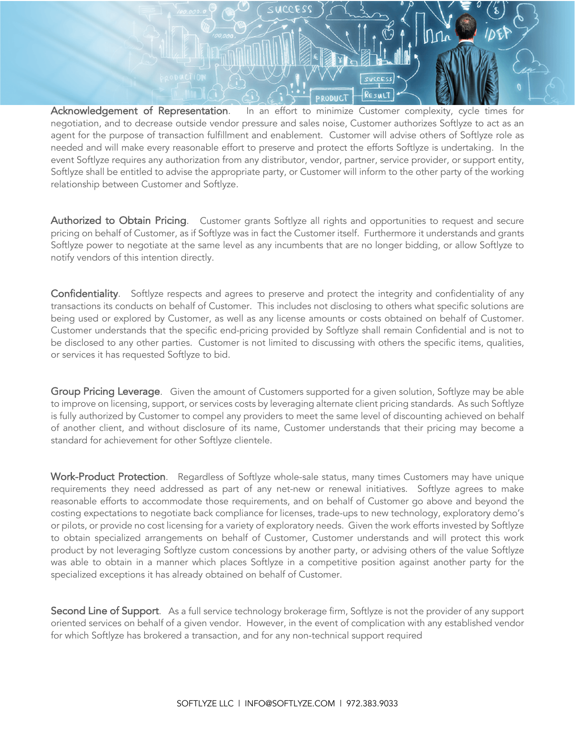Acknowledgement of Representation. In an effort to minimize Customer complexity, cycle times for negotiation, and to decrease outside vendor pressure and sales noise, Customer authorizes Softlyze to act as an agent for the purpose of transaction fulfillment and enablement. Customer will advise others of Softlyze role as needed and will make every reasonable effort to preserve and protect the efforts Softlyze is undertaking. In the event Softlyze requires any authorization from any distributor, vendor, partner, service provider, or support entity, Softlyze shall be entitled to advise the appropriate party, or Customer will inform to the other party of the working relationship between Customer and Softlyze.

RESULT

**RODHCT** 

Authorized to Obtain Pricing. Customer grants Softlyze all rights and opportunities to request and secure pricing on behalf of Customer, as if Softlyze was in fact the Customer itself. Furthermore it understands and grants Softlyze power to negotiate at the same level as any incumbents that are no longer bidding, or allow Softlyze to notify vendors of this intention directly.

Confidentiality. Softlyze respects and agrees to preserve and protect the integrity and confidentiality of any transactions its conducts on behalf of Customer. This includes not disclosing to others what specific solutions are being used or explored by Customer, as well as any license amounts or costs obtained on behalf of Customer. Customer understands that the specific end-pricing provided by Softlyze shall remain Confidential and is not to be disclosed to any other parties. Customer is not limited to discussing with others the specific items, qualities, or services it has requested Softlyze to bid.

Group Pricing Leverage. Given the amount of Customers supported for a given solution, Softlyze may be able to improve on licensing, support, or services costs by leveraging alternate client pricing standards. As such Softlyze is fully authorized by Customer to compel any providers to meet the same level of discounting achieved on behalf of another client, and without disclosure of its name, Customer understands that their pricing may become a standard for achievement for other Softlyze clientele.

Work-Product Protection. Regardless of Softlyze whole-sale status, many times Customers may have unique requirements they need addressed as part of any net-new or renewal initiatives. Softlyze agrees to make reasonable efforts to accommodate those requirements, and on behalf of Customer go above and beyond the costing expectations to negotiate back compliance for licenses, trade-ups to new technology, exploratory demo's or pilots, or provide no cost licensing for a variety of exploratory needs. Given the work efforts invested by Softlyze to obtain specialized arrangements on behalf of Customer, Customer understands and will protect this work product by not leveraging Softlyze custom concessions by another party, or advising others of the value Softlyze was able to obtain in a manner which places Softlyze in a competitive position against another party for the specialized exceptions it has already obtained on behalf of Customer.

Second Line of Support. As a full service technology brokerage firm, Softlyze is not the provider of any support oriented services on behalf of a given vendor. However, in the event of complication with any established vendor for which Softlyze has brokered a transaction, and for any non-technical support required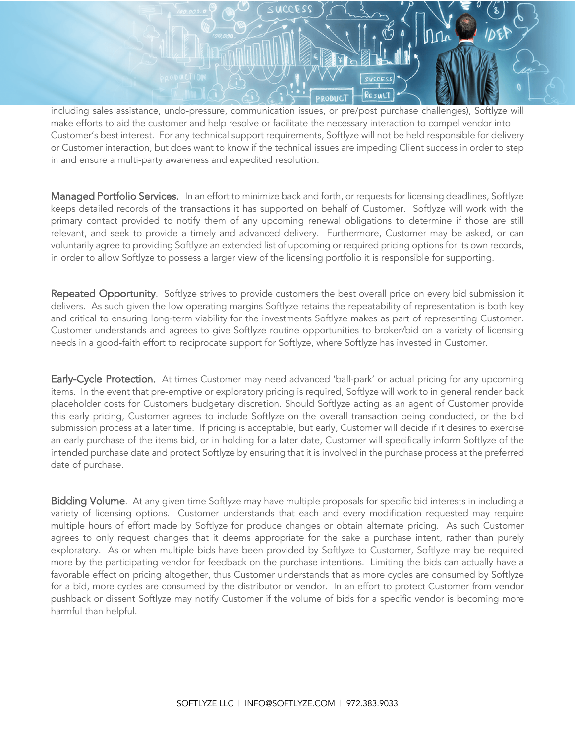

including sales assistance, undo-pressure, communication issues, or pre/post purchase challenges), Softlyze will make efforts to aid the customer and help resolve or facilitate the necessary interaction to compel vendor into Customer's best interest. For any technical support requirements, Softlyze will not be held responsible for delivery or Customer interaction, but does want to know if the technical issues are impeding Client success in order to step in and ensure a multi-party awareness and expedited resolution.

Managed Portfolio Services. In an effort to minimize back and forth, or requests for licensing deadlines, Softlyze keeps detailed records of the transactions it has supported on behalf of Customer. Softlyze will work with the primary contact provided to notify them of any upcoming renewal obligations to determine if those are still relevant, and seek to provide a timely and advanced delivery. Furthermore, Customer may be asked, or can voluntarily agree to providing Softlyze an extended list of upcoming or required pricing options for its own records, in order to allow Softlyze to possess a larger view of the licensing portfolio it is responsible for supporting.

Repeated Opportunity. Softlyze strives to provide customers the best overall price on every bid submission it delivers. As such given the low operating margins Softlyze retains the repeatability of representation is both key and critical to ensuring long-term viability for the investments Softlyze makes as part of representing Customer. Customer understands and agrees to give Softlyze routine opportunities to broker/bid on a variety of licensing needs in a good-faith effort to reciprocate support for Softlyze, where Softlyze has invested in Customer.

Early-Cycle Protection. At times Customer may need advanced 'ball-park' or actual pricing for any upcoming items. In the event that pre-emptive or exploratory pricing is required, Softlyze will work to in general render back placeholder costs for Customers budgetary discretion. Should Softlyze acting as an agent of Customer provide this early pricing, Customer agrees to include Softlyze on the overall transaction being conducted, or the bid submission process at a later time. If pricing is acceptable, but early, Customer will decide if it desires to exercise an early purchase of the items bid, or in holding for a later date, Customer will specifically inform Softlyze of the intended purchase date and protect Softlyze by ensuring that it is involved in the purchase process at the preferred date of purchase.

Bidding Volume. At any given time Softlyze may have multiple proposals for specific bid interests in including a variety of licensing options. Customer understands that each and every modification requested may require multiple hours of effort made by Softlyze for produce changes or obtain alternate pricing. As such Customer agrees to only request changes that it deems appropriate for the sake a purchase intent, rather than purely exploratory. As or when multiple bids have been provided by Softlyze to Customer, Softlyze may be required more by the participating vendor for feedback on the purchase intentions. Limiting the bids can actually have a favorable effect on pricing altogether, thus Customer understands that as more cycles are consumed by Softlyze for a bid, more cycles are consumed by the distributor or vendor. In an effort to protect Customer from vendor pushback or dissent Softlyze may notify Customer if the volume of bids for a specific vendor is becoming more harmful than helpful.